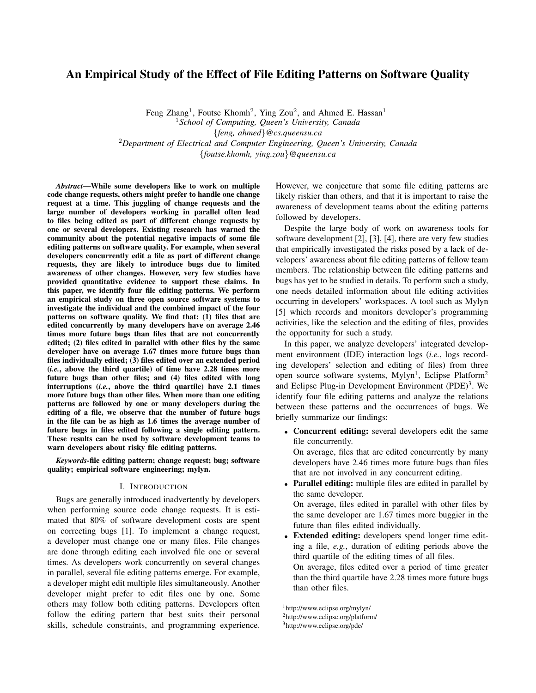# An Empirical Study of the Effect of File Editing Patterns on Software Quality

Feng Zhang<sup>1</sup>, Foutse Khomh<sup>2</sup>, Ying Zou<sup>2</sup>, and Ahmed E. Hassan<sup>1</sup> <sup>1</sup>*School of Computing, Queen's University, Canada* {*feng, ahmed*}*@cs.queensu.ca* <sup>2</sup>*Department of Electrical and Computer Engineering, Queen's University, Canada* {*foutse.khomh, ying.zou*}*@queensu.ca*

*Abstract*—While some developers like to work on multiple code change requests, others might prefer to handle one change request at a time. This juggling of change requests and the large number of developers working in parallel often lead to files being edited as part of different change requests by one or several developers. Existing research has warned the community about the potential negative impacts of some file editing patterns on software quality. For example, when several developers concurrently edit a file as part of different change requests, they are likely to introduce bugs due to limited awareness of other changes. However, very few studies have provided quantitative evidence to support these claims. In this paper, we identify four file editing patterns. We perform an empirical study on three open source software systems to investigate the individual and the combined impact of the four patterns on software quality. We find that: (1) files that are edited concurrently by many developers have on average 2.46 times more future bugs than files that are not concurrently edited; (2) files edited in parallel with other files by the same developer have on average 1.67 times more future bugs than files individually edited; (3) files edited over an extended period (*i.e.*, above the third quartile) of time have 2.28 times more future bugs than other files; and (4) files edited with long interruptions (*i.e.*, above the third quartile) have 2.1 times more future bugs than other files. When more than one editing patterns are followed by one or many developers during the editing of a file, we observe that the number of future bugs in the file can be as high as 1.6 times the average number of future bugs in files edited following a single editing pattern. These results can be used by software development teams to warn developers about risky file editing patterns.

*Keywords*-file editing pattern; change request; bug; software quality; empirical software engineering; mylyn.

#### I. INTRODUCTION

Bugs are generally introduced inadvertently by developers when performing source code change requests. It is estimated that 80% of software development costs are spent on correcting bugs [1]. To implement a change request, a developer must change one or many files. File changes are done through editing each involved file one or several times. As developers work concurrently on several changes in parallel, several file editing patterns emerge. For example, a developer might edit multiple files simultaneously. Another developer might prefer to edit files one by one. Some others may follow both editing patterns. Developers often follow the editing pattern that best suits their personal skills, schedule constraints, and programming experience. However, we conjecture that some file editing patterns are likely riskier than others, and that it is important to raise the awareness of development teams about the editing patterns followed by developers.

Despite the large body of work on awareness tools for software development [2], [3], [4], there are very few studies that empirically investigated the risks posed by a lack of developers' awareness about file editing patterns of fellow team members. The relationship between file editing patterns and bugs has yet to be studied in details. To perform such a study, one needs detailed information about file editing activities occurring in developers' workspaces. A tool such as Mylyn [5] which records and monitors developer's programming activities, like the selection and the editing of files, provides the opportunity for such a study.

In this paper, we analyze developers' integrated development environment (IDE) interaction logs (*i.e.*, logs recording developers' selection and editing of files) from three open source software systems, Mylyn<sup>1</sup>, Eclipse Platform<sup>2</sup> and Eclipse Plug-in Development Environment (PDE)<sup>3</sup>. We identify four file editing patterns and analyze the relations between these patterns and the occurrences of bugs. We briefly summarize our findings:

• Concurrent editing: several developers edit the same file concurrently.

On average, files that are edited concurrently by many developers have 2.46 times more future bugs than files that are not involved in any concurrent editing.

• Parallel editing: multiple files are edited in parallel by the same developer.

On average, files edited in parallel with other files by the same developer are 1.67 times more buggier in the future than files edited individually.

**Extended editing:** developers spend longer time editing a file, *e.g.*, duration of editing periods above the third quartile of the editing times of all files. On average, files edited over a period of time greater than the third quartile have 2.28 times more future bugs than other files.

<sup>2</sup>http://www.eclipse.org/platform/

<sup>1</sup>http://www.eclipse.org/mylyn/

<sup>3</sup>http://www.eclipse.org/pde/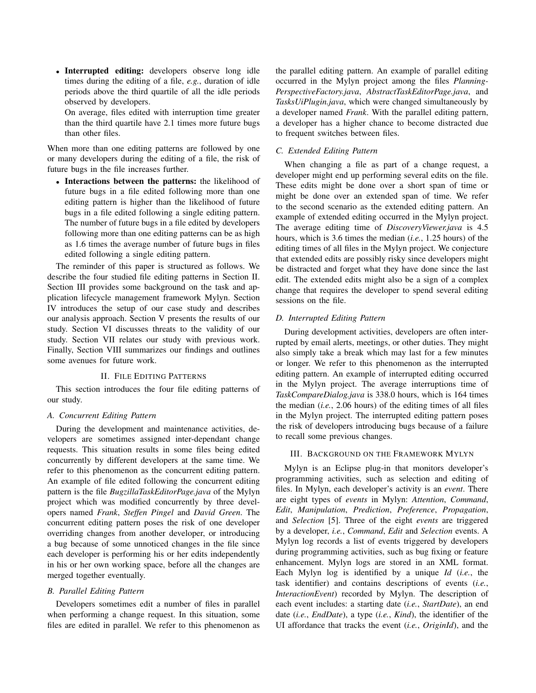• Interrupted editing: developers observe long idle times during the editing of a file, *e.g.*, duration of idle periods above the third quartile of all the idle periods observed by developers.

On average, files edited with interruption time greater than the third quartile have 2.1 times more future bugs than other files.

When more than one editing patterns are followed by one or many developers during the editing of a file, the risk of future bugs in the file increases further.

• Interactions between the patterns: the likelihood of future bugs in a file edited following more than one editing pattern is higher than the likelihood of future bugs in a file edited following a single editing pattern. The number of future bugs in a file edited by developers following more than one editing patterns can be as high as 1.6 times the average number of future bugs in files edited following a single editing pattern.

The reminder of this paper is structured as follows. We describe the four studied file editing patterns in Section II. Section III provides some background on the task and application lifecycle management framework Mylyn. Section IV introduces the setup of our case study and describes our analysis approach. Section V presents the results of our study. Section VI discusses threats to the validity of our study. Section VII relates our study with previous work. Finally, Section VIII summarizes our findings and outlines some avenues for future work.

#### II. FILE EDITING PATTERNS

This section introduces the four file editing patterns of our study.

#### *A. Concurrent Editing Pattern*

During the development and maintenance activities, developers are sometimes assigned inter-dependant change requests. This situation results in some files being edited concurrently by different developers at the same time. We refer to this phenomenon as the concurrent editing pattern. An example of file edited following the concurrent editing pattern is the file *BugzillaTaskEditorPage.java* of the Mylyn project which was modified concurrently by three developers named *Frank*, *Steffen Pingel* and *David Green*. The concurrent editing pattern poses the risk of one developer overriding changes from another developer, or introducing a bug because of some unnoticed changes in the file since each developer is performing his or her edits independently in his or her own working space, before all the changes are merged together eventually.

#### *B. Parallel Editing Pattern*

Developers sometimes edit a number of files in parallel when performing a change request. In this situation, some files are edited in parallel. We refer to this phenomenon as the parallel editing pattern. An example of parallel editing occurred in the Mylyn project among the files *Planning-PerspectiveFactory.java*, *AbstractTaskEditorPage.java*, and *TasksUiPlugin.java*, which were changed simultaneously by a developer named *Frank*. With the parallel editing pattern, a developer has a higher chance to become distracted due to frequent switches between files.

## *C. Extended Editing Pattern*

When changing a file as part of a change request, a developer might end up performing several edits on the file. These edits might be done over a short span of time or might be done over an extended span of time. We refer to the second scenario as the extended editing pattern. An example of extended editing occurred in the Mylyn project. The average editing time of *DiscoveryViewer.java* is 4.5 hours, which is 3.6 times the median (*i.e.*, 1.25 hours) of the editing times of all files in the Mylyn project. We conjecture that extended edits are possibly risky since developers might be distracted and forget what they have done since the last edit. The extended edits might also be a sign of a complex change that requires the developer to spend several editing sessions on the file.

### *D. Interrupted Editing Pattern*

During development activities, developers are often interrupted by email alerts, meetings, or other duties. They might also simply take a break which may last for a few minutes or longer. We refer to this phenomenon as the interrupted editing pattern. An example of interrupted editing occurred in the Mylyn project. The average interruptions time of *TaskCompareDialog.java* is 338.0 hours, which is 164 times the median (*i.e.*, 2.06 hours) of the editing times of all files in the Mylyn project. The interrupted editing pattern poses the risk of developers introducing bugs because of a failure to recall some previous changes.

## III. BACKGROUND ON THE FRAMEWORK MYLYN

Mylyn is an Eclipse plug-in that monitors developer's programming activities, such as selection and editing of files. In Mylyn, each developer's activity is an *event*. There are eight types of *events* in Mylyn: *Attention*, *Command*, *Edit*, *Manipulation*, *Prediction*, *Preference*, *Propagation*, and *Selection* [5]. Three of the eight *events* are triggered by a developer, *i.e.*, *Command*, *Edit* and *Selection* events. A Mylyn log records a list of events triggered by developers during programming activities, such as bug fixing or feature enhancement. Mylyn logs are stored in an XML format. Each Mylyn log is identified by a unique *Id* (*i.e.*, the task identifier) and contains descriptions of events (*i.e.*, *InteractionEvent*) recorded by Mylyn. The description of each event includes: a starting date (*i.e.*, *StartDate*), an end date (*i.e.*, *EndDate*), a type (*i.e.*, *Kind*), the identifier of the UI affordance that tracks the event (*i.e.*, *OriginId*), and the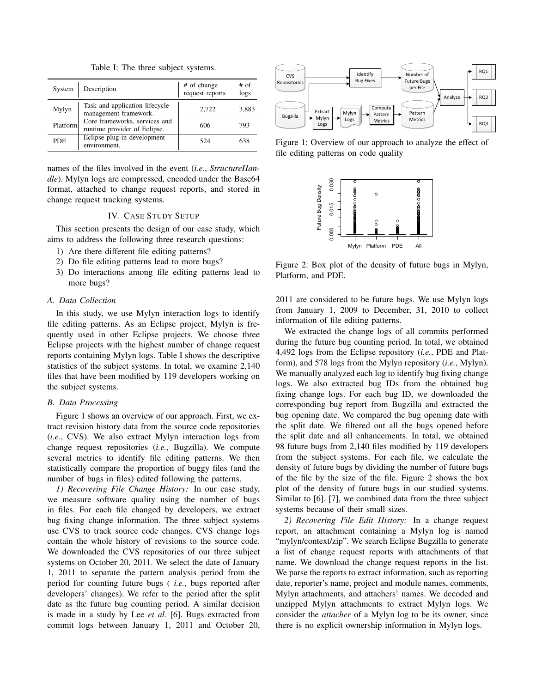Table I: The three subject systems.

| System   | Description                                                   | # of change<br>request reports | $#$ of<br>logs |
|----------|---------------------------------------------------------------|--------------------------------|----------------|
| Mylyn    | Task and application lifecycle<br>management framework.       | 2,722                          | 3,883          |
| Platform | Core frameworks, services and<br>runtime provider of Eclipse. | 606                            | 793            |
| PDE.     | Eclipse plug-in development<br>environment.                   | 524                            | 638            |

names of the files involved in the event (*i.e.*, *StructureHandle*). Mylyn logs are compressed, encoded under the Base64 format, attached to change request reports, and stored in change request tracking systems.

# IV. CASE STUDY SETUP

This section presents the design of our case study, which aims to address the following three research questions:

- 1) Are there different file editing patterns?
- 2) Do file editing patterns lead to more bugs?
- 3) Do interactions among file editing patterns lead to more bugs?

#### *A. Data Collection*

In this study, we use Mylyn interaction logs to identify file editing patterns. As an Eclipse project, Mylyn is frequently used in other Eclipse projects. We choose three Eclipse projects with the highest number of change request reports containing Mylyn logs. Table I shows the descriptive statistics of the subject systems. In total, we examine 2,140 files that have been modified by 119 developers working on the subject systems.

#### *B. Data Processing*

Figure 1 shows an overview of our approach. First, we extract revision history data from the source code repositories (*i.e.*, CVS). We also extract Mylyn interaction logs from change request repositories (*i.e.*, Bugzilla). We compute several metrics to identify file editing patterns. We then statistically compare the proportion of buggy files (and the number of bugs in files) edited following the patterns.

*1) Recovering File Change History:* In our case study, we measure software quality using the number of bugs in files. For each file changed by developers, we extract bug fixing change information. The three subject systems use CVS to track source code changes. CVS change logs contain the whole history of revisions to the source code. We downloaded the CVS repositories of our three subject systems on October 20, 2011. We select the date of January 1, 2011 to separate the pattern analysis period from the period for counting future bugs ( *i.e.*, bugs reported after developers' changes). We refer to the period after the split date as the future bug counting period. A similar decision is made in a study by Lee *et al.* [6]. Bugs extracted from commit logs between January 1, 2011 and October 20,



Figure 1: Overview of our approach to analyze the effect of file editing patterns on code quality



Figure 2: Box plot of the density of future bugs in Mylyn, Platform, and PDE.

2011 are considered to be future bugs. We use Mylyn logs from January 1, 2009 to December, 31, 2010 to collect information of file editing patterns.

We extracted the change logs of all commits performed during the future bug counting period. In total, we obtained 4,492 logs from the Eclipse repository (*i.e.*, PDE and Platform), and 578 logs from the Mylyn repository (*i.e.*, Mylyn). We manually analyzed each log to identify bug fixing change logs. We also extracted bug IDs from the obtained bug fixing change logs. For each bug ID, we downloaded the corresponding bug report from Bugzilla and extracted the bug opening date. We compared the bug opening date with the split date. We filtered out all the bugs opened before the split date and all enhancements. In total, we obtained 98 future bugs from 2,140 files modified by 119 developers from the subject systems. For each file, we calculate the density of future bugs by dividing the number of future bugs of the file by the size of the file. Figure 2 shows the box plot of the density of future bugs in our studied systems. Similar to [6], [7], we combined data from the three subject systems because of their small sizes.

*2) Recovering File Edit History:* In a change request report, an attachment containing a Mylyn log is named "mylyn/context/zip". We search Eclipse Bugzilla to generate a list of change request reports with attachments of that name. We download the change request reports in the list. We parse the reports to extract information, such as reporting date, reporter's name, project and module names, comments, Mylyn attachments, and attachers' names. We decoded and unzipped Mylyn attachments to extract Mylyn logs. We consider the *attacher* of a Mylyn log to be its owner, since there is no explicit ownership information in Mylyn logs.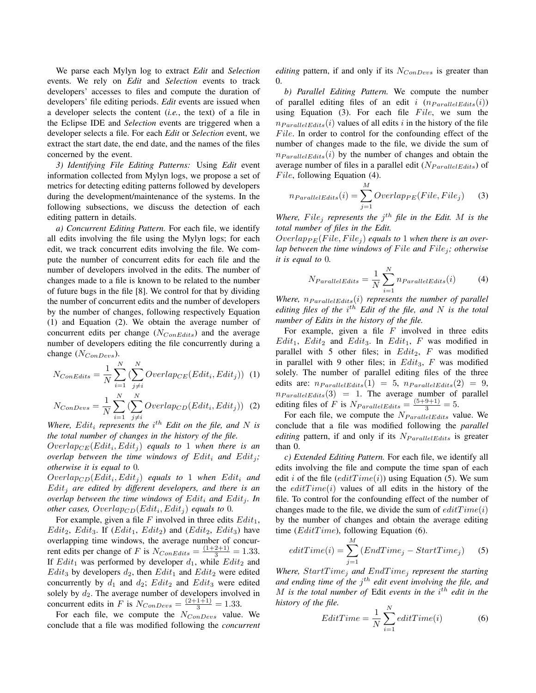We parse each Mylyn log to extract *Edit* and *Selection* events. We rely on *Edit* and *Selection* events to track developers' accesses to files and compute the duration of developers' file editing periods. *Edit* events are issued when a developer selects the content (*i.e.*, the text) of a file in the Eclipse IDE and *Selection* events are triggered when a developer selects a file. For each *Edit* or *Selection* event, we extract the start date, the end date, and the names of the files concerned by the event.

*3) Identifying File Editing Patterns:* Using *Edit* event information collected from Mylyn logs, we propose a set of metrics for detecting editing patterns followed by developers during the development/maintenance of the systems. In the following subsections, we discuss the detection of each editing pattern in details.

*a) Concurrent Editing Pattern.* For each file, we identify all edits involving the file using the Mylyn logs; for each edit, we track concurrent edits involving the file. We compute the number of concurrent edits for each file and the number of developers involved in the edits. The number of changes made to a file is known to be related to the number of future bugs in the file [8]. We control for that by dividing the number of concurrent edits and the number of developers by the number of changes, following respectively Equation (1) and Equation (2). We obtain the average number of concurrent edits per change  $(N_{ConEdits})$  and the average number of developers editing the file concurrently during a change  $(N_{ConDevs})$ .

$$
N_{ConEdits} = \frac{1}{N} \sum_{i=1}^{N} \left( \sum_{j \neq i}^{N} Overlap_{CE}(Edit_i, Edit_j) \right)
$$
 (1)

$$
N_{ConDevs} = \frac{1}{N} \sum_{i=1}^{N} \left( \sum_{j \neq i}^{N} Overlap_{CD}(Edit_i, Edit_j) \right) (2)
$$

Where,  $Edit_i$  represents the  $i<sup>th</sup>$  Edit on the file, and N is *the total number of changes in the history of the file.*

 $Overlap_{CE}(Edit_i, Edit_j)$  equals to 1 when there is an *overlap between the time windows of*  $Edit_i$  *and*  $Edit_j$ *; otherwise it is equal to* 0*.*

 $Overlap_{CD}(Edit_i, Edit_j)$  equals to 1 when  $Edit_i$  and Edit<sup>j</sup> *are edited by different developers, and there is an overlap between the time windows of*  $Edit_i$  *and*  $Edit_i$ *. In other cases, Overlap* $_{CD}(Edit_i, Edit_j)$  *equals to* 0*.* 

For example, given a file F involved in three edits  $Edit_1$ ,  $Edit_2$ ,  $Edit_3$ . If  $(Edit_1, Edit_2)$  and  $(Edit_2, Edit_3)$  have overlapping time windows, the average number of concurrent edits per change of F is  $N_{ConEdits} = \frac{(1+2+1)}{3} = 1.33$ . If  $Edit_1$  was performed by developer  $d_1$ , while  $Edit_2$  and  $Edit_3$  by developers  $d_2$ , then  $Edit_1$  and  $Edit_2$  were edited concurrently by  $d_1$  and  $d_2$ ;  $Edit_2$  and  $Edit_3$  were edited solely by  $d_2$ . The average number of developers involved in concurrent edits in F is  $N_{ConDevs} = \frac{(2+1+1)}{3} = 1.33$ .

For each file, we compute the  $N_{ConDevs}$  value. We conclude that a file was modified following the *concurrent* *editing* pattern, if and only if its  $N_{ConDevs}$  is greater than 0.

*b) Parallel Editing Pattern.* We compute the number of parallel editing files of an edit i  $(n_{ParallelEdits}(i))$ using Equation  $(3)$ . For each file File, we sum the  $n_{ParallelEdits}(i)$  values of all edits i in the history of the file  $File$ . In order to control for the confounding effect of the number of changes made to the file, we divide the sum of  $n_{ParallelEdits}(i)$  by the number of changes and obtain the average number of files in a parallel edit ( $N_{ParallelE}{dist}$ ) of  $File,$  following Equation (4).

$$
n_{ParallelEdits}(i) = \sum_{j=1}^{M} Overlap_{PE}(File, File_j) \tag{3}
$$

*Where,* F ile<sup>j</sup> *represents the* j th *file in the Edit.* M *is the total number of files in the Edit.*

 $Overlapp_E(File, File<sub>i</sub>)$  equals to 1 when there is an over*lap between the time windows of File and File<sub>j</sub>; otherwise it is equal to* 0*.*

$$
N_{ParallelEdits} = \frac{1}{N} \sum_{i=1}^{N} n_{ParallelEdits}(i)
$$
 (4)

*Where,*  $n_{ParallelEdits}(i)$  *represents the number of parallel* editing files of the i<sup>th</sup> Edit of the file, and N is the total *number of Edits in the history of the file.*

For example, given a file  $F$  involved in three edits  $Edit_1$ ,  $Edit_2$  and  $Edit_3$ . In  $Edit_1$ , F was modified in parallel with 5 other files; in  $Edit_2$ ,  $F$  was modified in parallel with 9 other files; in  $Edit_3$ , F was modified solely. The number of parallel editing files of the three edits are:  $n_{ParallelEdits}(1) = 5$ ,  $n_{ParallelEdits}(2) = 9$ ,  $n_{ParallelEdits}(3) = 1$ . The average number of parallel editing files of F is  $N_{ParallelEdits} = \frac{(5+9+1)}{3} = 5.$ 

For each file, we compute the  $N_{ParallelE}{dist}$  value. We conclude that a file was modified following the *parallel editing* pattern, if and only if its  $N_{ParallelE}{_{dits}}$  is greater than 0.

*c) Extended Editing Pattern.* For each file, we identify all edits involving the file and compute the time span of each edit i of the file  $(editTime(i))$  using Equation (5). We sum the  $editTime(i)$  values of all edits in the history of the file. To control for the confounding effect of the number of changes made to the file, we divide the sum of  $editTime(i)$ by the number of changes and obtain the average editing time ( $Edit Time$ ), following Equation (6).

$$
editTime(i) = \sum_{j=1}^{M} (EndTime_j - StartTime_j) \quad (5)
$$

*Where,* StartT ime<sup>j</sup> *and* EndT ime<sup>j</sup> *represent the starting* and ending time of the  $j^{th}$  edit event involving the file, and M is the total number of Edit events in the i<sup>th</sup> edit in the *history of the file.* N

$$
EditTime = \frac{1}{N} \sum_{i=1}^{N} editTime(i)
$$
 (6)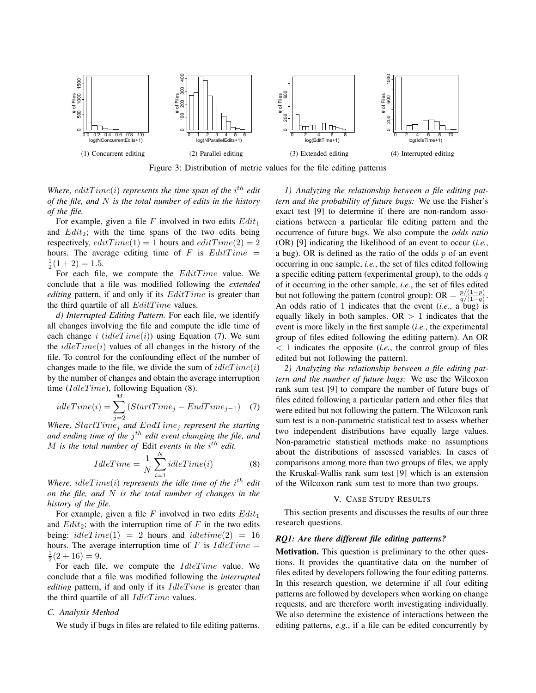

Figure 3: Distribution of metric values for the file editing patterns

Where,  $editTime(i)$  *represents the time span of the*  $i<sup>th</sup>$  *edit of the file, and* N *is the total number of edits in the history of the file.*

For example, given a file F involved in two edits  $Edit_1$ and  $Edit_2$ ; with the time spans of the two edits being respectively,  $editTime(1) = 1$  hours and  $editTime(2) = 2$ hours. The average editing time of  $F$  is  $Edit Time =$  $\frac{1}{2}(1+2) = 1.5.$ 

For each file, we compute the  $Edit Time$  value. We conclude that a file was modified following the *extended editing* pattern, if and only if its  $Edit Time$  is greater than the third quartile of all  $Edit Time$  values.

*d) Interrupted Editing Pattern.* For each file, we identify all changes involving the file and compute the idle time of each change i  $(idleTime(i))$  using Equation (7). We sum the  $idleTime(i)$  values of all changes in the history of the file. To control for the confounding effect of the number of changes made to the file, we divide the sum of  $idleTime(i)$ by the number of changes and obtain the average interruption time ( $IdleTime$ ), following Equation (8).

$$
idleTime(i) = \sum_{j=2}^{M} (StartTime_j - EndTime_{j-1}) \quad (7)
$$

*Where, StartTime<sub>i</sub> and EndTime<sub>i</sub> represent the starting* and ending time of the  $j^{th}$  edit event changing the file, and  $M$  is the total number of Edit events in the  $i^{th}$  edit.

$$
IdleTime = \frac{1}{N} \sum_{i=1}^{N} idleTime(i)
$$
 (8)

*Where,* idle $Time(i)$  *represents the idle time of the i*<sup>th</sup> *edit on the file, and* N *is the total number of changes in the history of the file.*

For example, given a file  $F$  involved in two edits  $Edit_1$ and  $Edit_2$ ; with the interruption time of  $F$  in the two edits being:  $idleTime(1) = 2$  hours and  $idletime(2) = 16$ hours. The average interruption time of F is  $IdleTime =$  $\frac{1}{2}(2+16)=9.$ 

For each file, we compute the  $IdleTime$  value. We conclude that a file was modified following the *interrupted editing* pattern, if and only if its  $IdleTime$  is greater than the third quartile of all  $IdleTime$  values.

## *C. Analysis Method*

We study if bugs in files are related to file editing patterns.

*1) Analyzing the relationship between a file editing pattern and the probability of future bugs:* We use the Fisher's exact test [9] to determine if there are non-random associations between a particular file editing pattern and the occurrence of future bugs. We also compute the *odds ratio* (OR) [9] indicating the likelihood of an event to occur (*i.e.*, a bug). OR is defined as the ratio of the odds  $p$  of an event occurring in one sample, *i.e.*, the set of files edited following a specific editing pattern (experimental group), to the odds  $q$ of it occurring in the other sample, *i.e.*, the set of files edited but not following the pattern (control group): OR =  $\frac{p/(1-p)}{q/(1-q)}$  $\frac{p/(1-p)}{q/(1-q)}$ . An odds ratio of 1 indicates that the event  $(i.e., a'$  bug) is equally likely in both samples. OR  $> 1$  indicates that the event is more likely in the first sample (*i.e.*, the experimental group of files edited following the editing pattern). An OR < 1 indicates the opposite (*i.e.*, the control group of files edited but not following the pattern).

*2) Analyzing the relationship between a file editing pattern and the number of future bugs:* We use the Wilcoxon rank sum test [9] to compare the number of future bugs of files edited following a particular pattern and other files that were edited but not following the pattern. The Wilcoxon rank sum test is a non-parametric statistical test to assess whether two independent distributions have equally large values. Non-parametric statistical methods make no assumptions about the distributions of assessed variables. In cases of comparisons among more than two groups of files, we apply the Kruskal-Wallis rank sum test [9] which is an extension of the Wilcoxon rank sum test to more than two groups.

### V. CASE STUDY RESULTS

This section presents and discusses the results of our three research questions.

#### *RQ1: Are there different file editing patterns?*

Motivation. This question is preliminary to the other questions. It provides the quantitative data on the number of files edited by developers following the four editing patterns. In this research question, we determine if all four editing patterns are followed by developers when working on change requests, and are therefore worth investigating individually. We also determine the existence of interactions between the editing patterns, *e.g.*, if a file can be edited concurrently by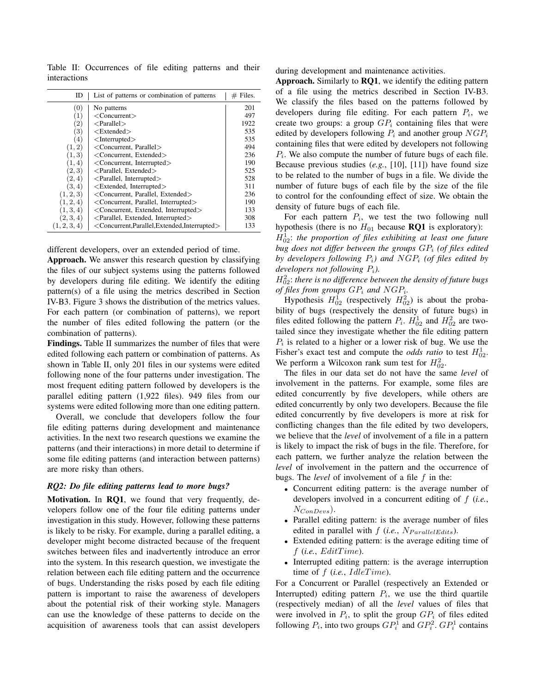| ID                | List of patterns or combination of patterns                          | $#$ Files. |
|-------------------|----------------------------------------------------------------------|------------|
| (0)               | No patterns                                                          | 201        |
| [1]               | $\langle$ Concurrent $\rangle$                                       | 497        |
| $\left( 2\right)$ | $<$ Parallel $>$                                                     | 1922       |
| (3)               | $<$ Extended $>$                                                     | 535        |
| (4)               | $\langle$ Interrupted $\rangle$                                      | 535        |
| (1, 2)            | <concurrent, parallel=""></concurrent,>                              | 494        |
| (1, 3)            | <concurrent, extended=""></concurrent,>                              | 236        |
| (1, 4)            | $\langle$ Concurrent, Interrupted $\rangle$                          | 190        |
| (2, 3)            | <parallel, extended=""></parallel,>                                  | 525        |
| (2, 4)            | $\langle$ Parallel, Interrupted $\rangle$                            | 528        |
| (3,4)             | <extended, interrupted=""></extended,>                               | 311        |
| (1, 2, 3)         | <concurrent, extended="" parallel,=""></concurrent,>                 | 236        |
| (1, 2, 4)         | <concurrent, interrupted="" parallel,=""></concurrent,>              | 190        |
| (1,3,4)           | $\langle$ Concurrent, Extended, Interrupted $\rangle$                | 133        |
| (2,3,4)           | $\leq$ Parallel, Extended, Interrupted $>$                           | 308        |
| (1, 2, 3, 4)      | <concurrent, extended,="" interrupted="" parallel,=""></concurrent,> | 133        |

Table II: Occurrences of file editing patterns and their interactions

different developers, over an extended period of time.

Approach. We answer this research question by classifying the files of our subject systems using the patterns followed by developers during file editing. We identify the editing pattern(s) of a file using the metrics described in Section IV-B3. Figure 3 shows the distribution of the metrics values. For each pattern (or combination of patterns), we report the number of files edited following the pattern (or the combination of patterns).

Findings. Table II summarizes the number of files that were edited following each pattern or combination of patterns. As shown in Table II, only 201 files in our systems were edited following none of the four patterns under investigation. The most frequent editing pattern followed by developers is the parallel editing pattern (1,922 files). 949 files from our systems were edited following more than one editing pattern.

Overall, we conclude that developers follow the four file editing patterns during development and maintenance activities. In the next two research questions we examine the patterns (and their interactions) in more detail to determine if some file editing patterns (and interaction between patterns) are more risky than others.

### *RQ2: Do file editing patterns lead to more bugs?*

Motivation. In RQ1, we found that very frequently, developers follow one of the four file editing patterns under investigation in this study. However, following these patterns is likely to be risky. For example, during a parallel editing, a developer might become distracted because of the frequent switches between files and inadvertently introduce an error into the system. In this research question, we investigate the relation between each file editing pattern and the occurrence of bugs. Understanding the risks posed by each file editing pattern is important to raise the awareness of developers about the potential risk of their working style. Managers can use the knowledge of these patterns to decide on the acquisition of awareness tools that can assist developers during development and maintenance activities.

Approach. Similarly to RQ1, we identify the editing pattern of a file using the metrics described in Section IV-B3. We classify the files based on the patterns followed by developers during file editing. For each pattern  $P_i$ , we create two groups: a group  $GP_i$  containing files that were edited by developers following  $P_i$  and another group  $NGP_i$ containing files that were edited by developers not following  $P_i$ . We also compute the number of future bugs of each file. Because previous studies (*e.g.*, [10], [11]) have found size to be related to the number of bugs in a file. We divide the number of future bugs of each file by the size of the file to control for the confounding effect of size. We obtain the density of future bugs of each file.

For each pattern  $P_i$ , we test the two following null hypothesis (there is no  $H_{01}$  because **RQ1** is exploratory): H<sup>1</sup> <sup>02</sup>: *the proportion of files exhibiting at least one future bug does not differ between the groups*  $GP_i$  (of files edited *by developers following*  $P_i$ *) and*  $NGP_i$  *(of files edited by developers not following* Pi*).*

H<sup>2</sup> <sup>02</sup>: *there is no difference between the density of future bugs of files from groups*  $GP_i$  *and*  $NGP_i$ *.* 

Hypothesis  $H_{02}^1$  (respectively  $H_{02}^2$ ) is about the probability of bugs (respectively the density of future bugs) in files edited following the pattern  $P_i$ .  $H_{02}^1$  and  $H_{02}^2$  are twotailed since they investigate whether the file editing pattern  $P_i$  is related to a higher or a lower risk of bug. We use the Fisher's exact test and compute the *odds ratio* to test  $H_{02}^1$ . We perform a Wilcoxon rank sum test for  $H_{02}^2$ .

The files in our data set do not have the same *level* of involvement in the patterns. For example, some files are edited concurrently by five developers, while others are edited concurrently by only two developers. Because the file edited concurrently by five developers is more at risk for conflicting changes than the file edited by two developers, we believe that the *level* of involvement of a file in a pattern is likely to impact the risk of bugs in the file. Therefore, for each pattern, we further analyze the relation between the *level* of involvement in the pattern and the occurrence of bugs. The *level* of involvement of a file f in the:

- Concurrent editing pattern: is the average number of developers involved in a concurrent editing of f (*i.e.*,  $N_{ConDevs}$ ).
- Parallel editing pattern: is the average number of files edited in parallel with  $f$  (*i.e.*,  $N_{ParallelEdits}$ ).
- Extended editing pattern: is the average editing time of  $f$  (*i.e.*,  $Edit Time$ ).
- Interrupted editing pattern: is the average interruption time of  $f$  (*i.e.*,  $IdleTime$ ).

For a Concurrent or Parallel (respectively an Extended or Interrupted) editing pattern  $P_i$ , we use the third quartile (respectively median) of all the *level* values of files that were involved in  $P_i$ , to split the group  $GP_i$  of files edited following  $P_i$ , into two groups  $GP_i^1$  and  $GP_i^2$ .  $GP_i^1$  contains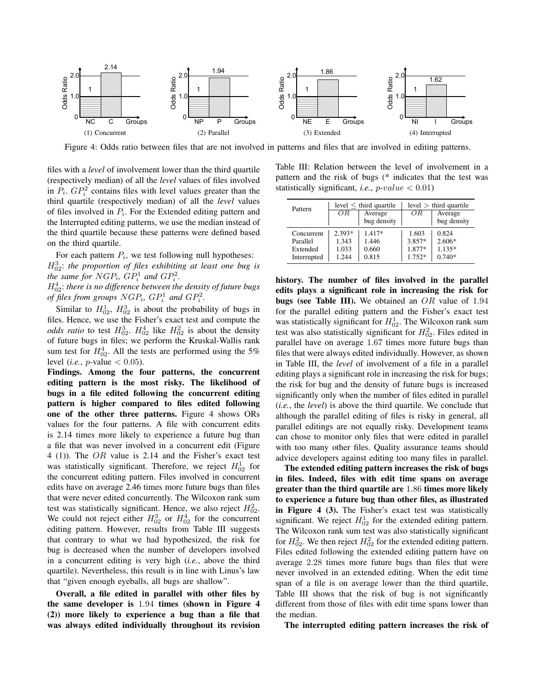

Figure 4: Odds ratio between files that are not involved in patterns and files that are involved in editing patterns.

files with a *level* of involvement lower than the third quartile (respectively median) of all the *level* values of files involved in  $P_i$ .  $GP_i^2$  contains files with level values greater than the third quartile (respectively median) of all the *level* values of files involved in  $P_i$ . For the Extended editing pattern and the Interrupted editing patterns, we use the median instead of the third quartile because these patterns were defined based on the third quartile.

For each pattern  $P_i$ , we test following null hypotheses:

H<sup>3</sup> <sup>02</sup>: *the proportion of files exhibiting at least one bug is the same for*  $NGP_i$ ,  $GP_i^1$  and  $GP_i^2$ .

H<sup>4</sup> <sup>02</sup>: *there is no difference between the density of future bugs of files from groups*  $NGP_i$ ,  $GP_i^1$  and  $GP_i^2$ .

Similar to  $H_{02}^1$ ,  $H_{02}^3$  is about the probability of bugs in files. Hence, we use the Fisher's exact test and compute the *odds ratio* to test  $H_{02}^3$ .  $H_{02}^4$  like  $H_{02}^2$  is about the density of future bugs in files; we perform the Kruskal-Wallis rank sum test for  $H_{02}^4$ . All the tests are performed using the 5% level (*i.e.*, *p*-value  $<$  0.05).

Findings. Among the four patterns, the concurrent editing pattern is the most risky. The likelihood of bugs in a file edited following the concurrent editing pattern is higher compared to files edited following one of the other three patterns. Figure 4 shows ORs values for the four patterns. A file with concurrent edits is 2.14 times more likely to experience a future bug than a file that was never involved in a concurrent edit (Figure 4 (1)). The OR value is 2.14 and the Fisher's exact test was statistically significant. Therefore, we reject  $H_{02}^1$  for the concurrent editing pattern. Files involved in concurrent edits have on average 2.46 times more future bugs than files that were never edited concurrently. The Wilcoxon rank sum test was statistically significant. Hence, we also reject  $H_{02}^2$ . We could not reject either  $H_{02}^3$  or  $H_{02}^4$  for the concurrent editing pattern. However, results from Table III suggests that contrary to what we had hypothesized, the risk for bug is decreased when the number of developers involved in a concurrent editing is very high (*i.e.*, above the third quartile). Nevertheless, this result is in line with Linus's law that "given enough eyeballs, all bugs are shallow".

Overall, a file edited in parallel with other files by the same developer is 1.94 times (shown in Figure 4 (2)) more likely to experience a bug than a file that was always edited individually throughout its revision

Table III: Relation between the level of involvement in a pattern and the risk of bugs (\* indicates that the test was statistically significant, *i.e.*,  $p-value < 0.01$ )

| Pattern     | $level < third$ quartile |             | $level$ > third quartile |             |
|-------------|--------------------------|-------------|--------------------------|-------------|
|             | ΟR                       | Average     | ΟR                       | Average     |
|             |                          | bug density |                          | bug density |
| Concurrent  | 2.393*                   | 1.417*      | 1.603                    | 0.824       |
| Parallel    | 1.343                    | 1.446       | 3.857*                   | $2.606*$    |
| Extended    | 1.033                    | 0.660       | 1.877*                   | $1.135*$    |
| Interrupted | 1.244                    | 0.815       | 1.752*                   | $0.740*$    |

history. The number of files involved in the parallel edits plays a significant role in increasing the risk for bugs (see Table III). We obtained an  $OR$  value of  $1.94$ for the parallel editing pattern and the Fisher's exact test was statistically significant for  $H_{02}^1$ . The Wilcoxon rank sum test was also statistically significant for  $H_{02}^2$ . Files edited in parallel have on average 1.67 times more future bugs than files that were always edited individually. However, as shown in Table III, the *level* of involvement of a file in a parallel editing plays a significant role in increasing the risk for bugs; the risk for bug and the density of future bugs is increased significantly only when the number of files edited in parallel (*i.e.*, the *level*) is above the third quartile. We conclude that although the parallel editing of files is risky in general, all parallel editings are not equally risky. Development teams can chose to monitor only files that were edited in parallel with too many other files. Quality assurance teams should advice developers against editing too many files in parallel.

The extended editing pattern increases the risk of bugs in files. Indeed, files with edit time spans on average greater than the third quartile are 1.86 times more likely to experience a future bug than other files, as illustrated in Figure 4 (3). The Fisher's exact test was statistically significant. We reject  $H_{02}^1$  for the extended editing pattern. The Wilcoxon rank sum test was also statistically significant for  $H_{02}^2$ . We then reject  $H_{02}^2$  for the extended editing pattern. Files edited following the extended editing pattern have on average 2.28 times more future bugs than files that were never involved in an extended editing. When the edit time span of a file is on average lower than the third quartile, Table III shows that the risk of bug is not significantly different from those of files with edit time spans lower than the median.

The interrupted editing pattern increases the risk of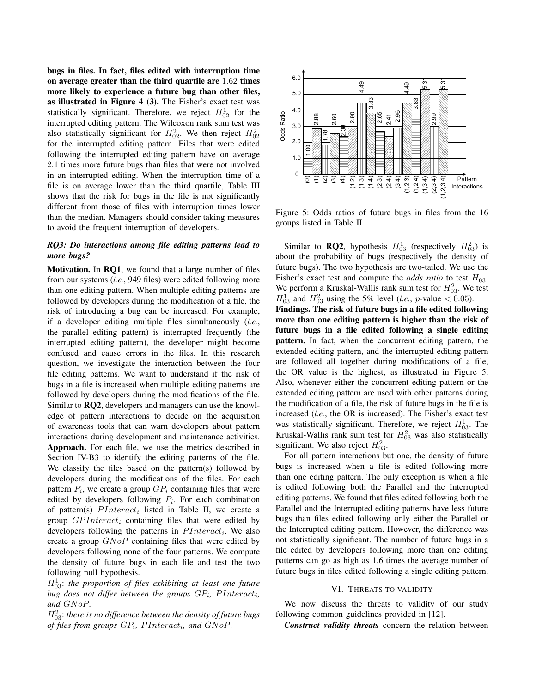bugs in files. In fact, files edited with interruption time on average greater than the third quartile are 1.62 times more likely to experience a future bug than other files, as illustrated in Figure 4 (3). The Fisher's exact test was statistically significant. Therefore, we reject  $H_{02}^1$  for the interrupted editing pattern. The Wilcoxon rank sum test was also statistically significant for  $H_{02}^2$ . We then reject  $H_{02}^2$ for the interrupted editing pattern. Files that were edited following the interrupted editing pattern have on average 2.1 times more future bugs than files that were not involved in an interrupted editing. When the interruption time of a file is on average lower than the third quartile, Table III shows that the risk for bugs in the file is not significantly different from those of files with interruption times lower than the median. Managers should consider taking measures to avoid the frequent interruption of developers.

# *RQ3: Do interactions among file editing patterns lead to more bugs?*

Motivation. In RQ1, we found that a large number of files from our systems (*i.e.*, 949 files) were edited following more than one editing pattern. When multiple editing patterns are followed by developers during the modification of a file, the risk of introducing a bug can be increased. For example, if a developer editing multiple files simultaneously (*i.e.*, the parallel editing pattern) is interrupted frequently (the interrupted editing pattern), the developer might become confused and cause errors in the files. In this research question, we investigate the interaction between the four file editing patterns. We want to understand if the risk of bugs in a file is increased when multiple editing patterns are followed by developers during the modifications of the file. Similar to RQ2, developers and managers can use the knowledge of pattern interactions to decide on the acquisition of awareness tools that can warn developers about pattern interactions during development and maintenance activities. Approach. For each file, we use the metrics described in Section IV-B3 to identify the editing patterns of the file. We classify the files based on the pattern(s) followed by developers during the modifications of the files. For each pattern  $P_i$ , we create a group  $GP_i$  containing files that were edited by developers following  $P_i$ . For each combination of pattern(s)  $PInteract_i$  listed in Table II, we create a group  $GPInteract_i$  containing files that were edited by developers following the patterns in  $PInteract_i$ . We also create a group GNoP containing files that were edited by developers following none of the four patterns. We compute the density of future bugs in each file and test the two following null hypothesis.

H<sup>1</sup> <sup>03</sup>: *the proportion of files exhibiting at least one future*  $b$ ug does not differ between the groups  $GP_i$ ,  $Plnteract_i$ , *and* GNoP*.*

H<sup>2</sup> <sup>03</sup>: *there is no difference between the density of future bugs of files from groups*  $GP_i$ ,  $PInteract_i$ , and  $GNoP$ .



Figure 5: Odds ratios of future bugs in files from the 16 groups listed in Table II

Similar to **RQ2**, hypothesis  $H_{03}^1$  (respectively  $H_{03}^2$ ) is about the probability of bugs (respectively the density of future bugs). The two hypothesis are two-tailed. We use the Fisher's exact test and compute the *odds ratio* to test  $H_{03}^1$ . We perform a Kruskal-Wallis rank sum test for  $H_{03}^2$ . We test  $H_{03}^1$  and  $H_{03}^2$  using the 5% level (*i.e.*, *p*-value < 0.05).

Findings. The risk of future bugs in a file edited following more than one editing pattern is higher than the risk of future bugs in a file edited following a single editing pattern. In fact, when the concurrent editing pattern, the extended editing pattern, and the interrupted editing pattern are followed all together during modifications of a file, the OR value is the highest, as illustrated in Figure 5. Also, whenever either the concurrent editing pattern or the extended editing pattern are used with other patterns during the modification of a file, the risk of future bugs in the file is increased (*i.e.*, the OR is increased). The Fisher's exact test was statistically significant. Therefore, we reject  $H_{03}^1$ . The Kruskal-Wallis rank sum test for  $H_{03}^2$  was also statistically significant. We also reject  $H_{03}^2$ .

For all pattern interactions but one, the density of future bugs is increased when a file is edited following more than one editing pattern. The only exception is when a file is edited following both the Parallel and the Interrupted editing patterns. We found that files edited following both the Parallel and the Interrupted editing patterns have less future bugs than files edited following only either the Parallel or the Interrupted editing pattern. However, the difference was not statistically significant. The number of future bugs in a file edited by developers following more than one editing patterns can go as high as 1.6 times the average number of future bugs in files edited following a single editing pattern.

#### VI. THREATS TO VALIDITY

We now discuss the threats to validity of our study following common guidelines provided in [12].

*Construct validity threats* concern the relation between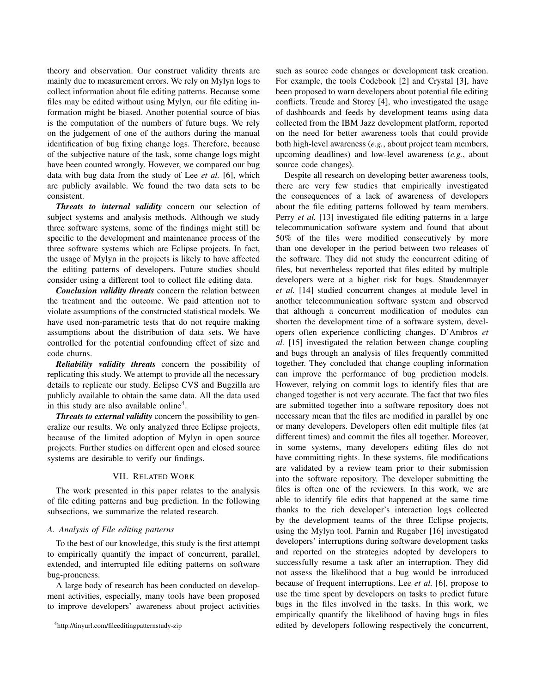theory and observation. Our construct validity threats are mainly due to measurement errors. We rely on Mylyn logs to collect information about file editing patterns. Because some files may be edited without using Mylyn, our file editing information might be biased. Another potential source of bias is the computation of the numbers of future bugs. We rely on the judgement of one of the authors during the manual identification of bug fixing change logs. Therefore, because of the subjective nature of the task, some change logs might have been counted wrongly. However, we compared our bug data with bug data from the study of Lee *et al.* [6], which are publicly available. We found the two data sets to be consistent.

*Threats to internal validity* concern our selection of subject systems and analysis methods. Although we study three software systems, some of the findings might still be specific to the development and maintenance process of the three software systems which are Eclipse projects. In fact, the usage of Mylyn in the projects is likely to have affected the editing patterns of developers. Future studies should consider using a different tool to collect file editing data.

*Conclusion validity threats* concern the relation between the treatment and the outcome. We paid attention not to violate assumptions of the constructed statistical models. We have used non-parametric tests that do not require making assumptions about the distribution of data sets. We have controlled for the potential confounding effect of size and code churns.

*Reliability validity threats* concern the possibility of replicating this study. We attempt to provide all the necessary details to replicate our study. Eclipse CVS and Bugzilla are publicly available to obtain the same data. All the data used in this study are also available online<sup>4</sup>.

*Threats to external validity* concern the possibility to generalize our results. We only analyzed three Eclipse projects, because of the limited adoption of Mylyn in open source projects. Further studies on different open and closed source systems are desirable to verify our findings.

## VII. RELATED WORK

The work presented in this paper relates to the analysis of file editing patterns and bug prediction. In the following subsections, we summarize the related research.

### *A. Analysis of File editing patterns*

To the best of our knowledge, this study is the first attempt to empirically quantify the impact of concurrent, parallel, extended, and interrupted file editing patterns on software bug-proneness.

A large body of research has been conducted on development activities, especially, many tools have been proposed to improve developers' awareness about project activities such as source code changes or development task creation. For example, the tools Codebook [2] and Crystal [3], have been proposed to warn developers about potential file editing conflicts. Treude and Storey [4], who investigated the usage of dashboards and feeds by development teams using data collected from the IBM Jazz development platform, reported on the need for better awareness tools that could provide both high-level awareness (*e.g.*, about project team members, upcoming deadlines) and low-level awareness (*e.g.*, about source code changes).

Despite all research on developing better awareness tools, there are very few studies that empirically investigated the consequences of a lack of awareness of developers about the file editing patterns followed by team members. Perry *et al.* [13] investigated file editing patterns in a large telecommunication software system and found that about 50% of the files were modified consecutively by more than one developer in the period between two releases of the software. They did not study the concurrent editing of files, but nevertheless reported that files edited by multiple developers were at a higher risk for bugs. Staudenmayer *et al.* [14] studied concurrent changes at module level in another telecommunication software system and observed that although a concurrent modification of modules can shorten the development time of a software system, developers often experience conflicting changes. D'Ambros *et al.* [15] investigated the relation between change coupling and bugs through an analysis of files frequently committed together. They concluded that change coupling information can improve the performance of bug prediction models. However, relying on commit logs to identify files that are changed together is not very accurate. The fact that two files are submitted together into a software repository does not necessary mean that the files are modified in parallel by one or many developers. Developers often edit multiple files (at different times) and commit the files all together. Moreover, in some systems, many developers editing files do not have committing rights. In these systems, file modifications are validated by a review team prior to their submission into the software repository. The developer submitting the files is often one of the reviewers. In this work, we are able to identify file edits that happened at the same time thanks to the rich developer's interaction logs collected by the development teams of the three Eclipse projects, using the Mylyn tool. Parnin and Rugaber [16] investigated developers' interruptions during software development tasks and reported on the strategies adopted by developers to successfully resume a task after an interruption. They did not assess the likelihood that a bug would be introduced because of frequent interruptions. Lee *et al.* [6], propose to use the time spent by developers on tasks to predict future bugs in the files involved in the tasks. In this work, we empirically quantify the likelihood of having bugs in files edited by developers following respectively the concurrent,

<sup>4</sup>http://tinyurl.com/fileeditingpatternstudy-zip